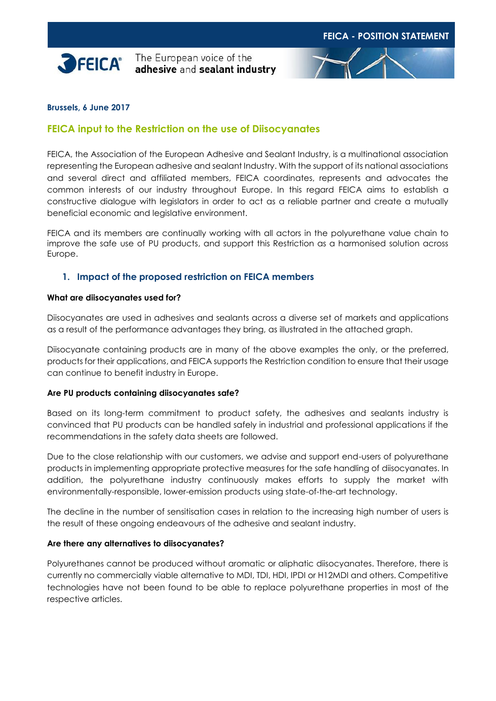

The European voice of the adhesive and sealant industry



### **Brussels, 6 June 2017**

# **FEICA input to the Restriction on the use of Diisocyanates**

FEICA, the Association of the European Adhesive and Sealant Industry, is a multinational association representing the European adhesive and sealant Industry. With the support of its national associations and several direct and affiliated members, FEICA coordinates, represents and advocates the common interests of our industry throughout Europe. In this regard FEICA aims to establish a constructive dialogue with legislators in order to act as a reliable partner and create a mutually beneficial economic and legislative environment.

FEICA and its members are continually working with all actors in the polyurethane value chain to improve the safe use of PU products, and support this Restriction as a harmonised solution across Europe.

### **1. Impact of the proposed restriction on FEICA members**

#### **What are diisocyanates used for?**

Diisocyanates are used in adhesives and sealants across a diverse set of markets and applications as a result of the performance advantages they bring, as illustrated in the attached graph.

Diisocyanate containing products are in many of the above examples the only, or the preferred, products for their applications, and FEICA supports the Restriction condition to ensure that their usage can continue to benefit industry in Europe.

### **Are PU products containing diisocyanates safe?**

Based on its long-term commitment to product safety, the adhesives and sealants industry is convinced that PU products can be handled safely in industrial and professional applications if the recommendations in the safety data sheets are followed.

Due to the close relationship with our customers, we advise and support end-users of polyurethane products in implementing appropriate protective measures for the safe handling of diisocyanates. In addition, the polyurethane industry continuously makes efforts to supply the market with environmentally-responsible, lower-emission products using state-of-the-art technology.

The decline in the number of sensitisation cases in relation to the increasing high number of users is the result of these ongoing endeavours of the adhesive and sealant industry.

### **Are there any alternatives to diisocyanates?**

Polyurethanes cannot be produced without aromatic or aliphatic diisocyanates. Therefore, there is currently no commercially viable alternative to MDI, TDI, HDI, IPDI or H12MDI and others. Competitive technologies have not been found to be able to replace polyurethane properties in most of the respective articles.